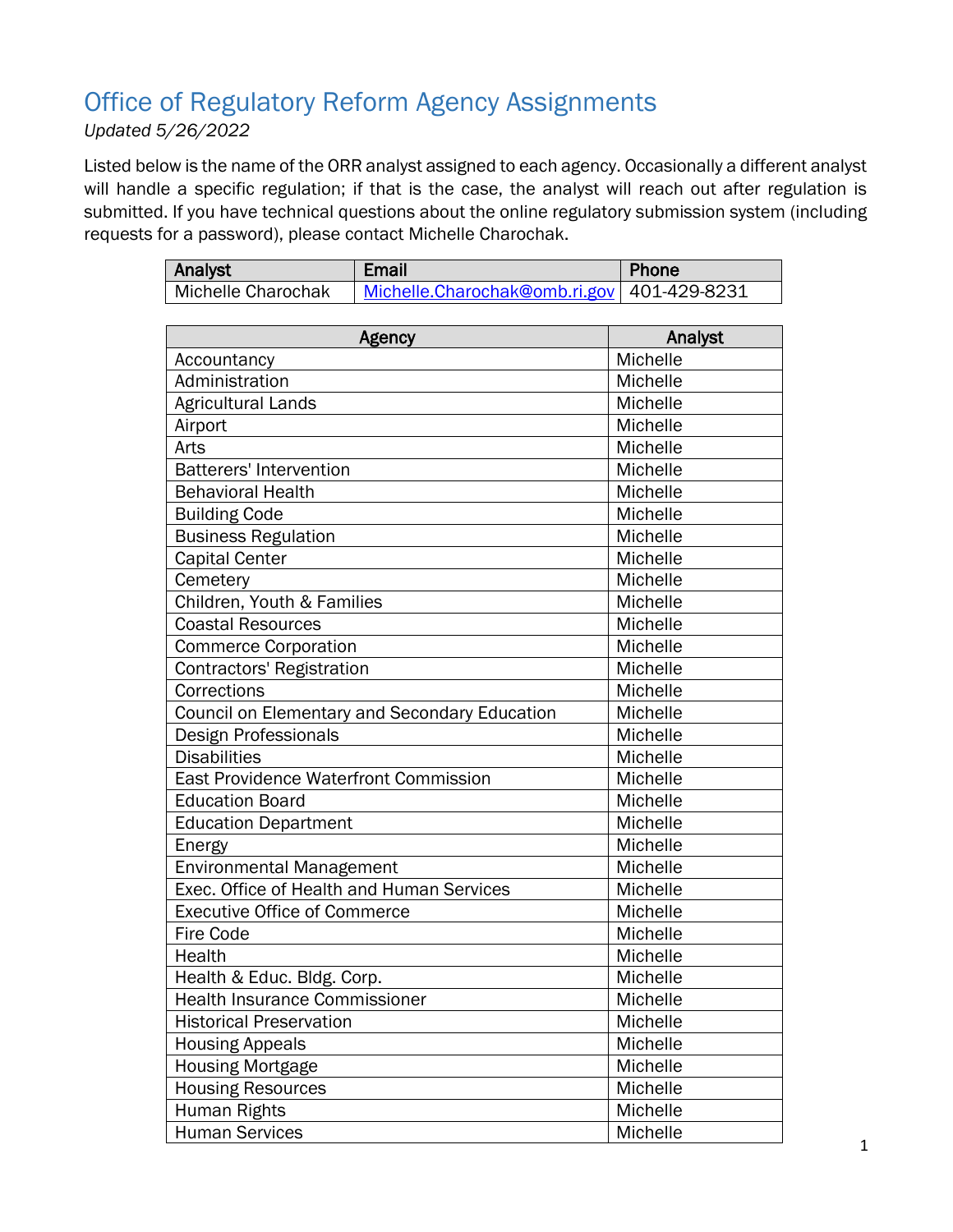## Office of Regulatory Reform Agency Assignments

*Updated 5/26/2022*

Listed below is the name of the ORR analyst assigned to each agency. Occasionally a different analyst will handle a specific regulation; if that is the case, the analyst will reach out after regulation is submitted. If you have technical questions about the online regulatory submission system (including requests for a password), please contact Michelle Charochak.

| Analyst                                       | <b>Email</b>                  | Phone           |
|-----------------------------------------------|-------------------------------|-----------------|
| Michelle Charochak                            | Michelle.Charochak@omb.ri.gov | 401-429-8231    |
|                                               |                               |                 |
| Agency                                        |                               | Analyst         |
| Accountancy                                   |                               | Michelle        |
| Administration                                |                               | Michelle        |
| <b>Agricultural Lands</b>                     |                               | Michelle        |
| Airport                                       |                               | Michelle        |
| Arts                                          |                               | Michelle        |
| <b>Batterers' Intervention</b>                |                               | Michelle        |
| <b>Behavioral Health</b>                      |                               | Michelle        |
| <b>Building Code</b>                          |                               | Michelle        |
| <b>Business Regulation</b>                    |                               | Michelle        |
| <b>Capital Center</b>                         |                               | Michelle        |
| Cemetery                                      |                               | Michelle        |
| Children, Youth & Families                    |                               | Michelle        |
| <b>Coastal Resources</b>                      |                               | <b>Michelle</b> |
| <b>Commerce Corporation</b>                   |                               | Michelle        |
| <b>Contractors' Registration</b>              |                               | Michelle        |
| Corrections                                   |                               | Michelle        |
| Council on Elementary and Secondary Education |                               | Michelle        |
| Design Professionals                          |                               | Michelle        |
| <b>Disabilities</b>                           |                               | Michelle        |
| East Providence Waterfront Commission         |                               | Michelle        |
| <b>Education Board</b>                        |                               | Michelle        |
| <b>Education Department</b>                   |                               | Michelle        |
| Energy                                        |                               | Michelle        |
| <b>Environmental Management</b>               |                               | Michelle        |
| Exec. Office of Health and Human Services     |                               | Michelle        |
| <b>Executive Office of Commerce</b>           |                               | Michelle        |
| Fire Code                                     |                               | Michelle        |
| Health                                        |                               | Michelle        |
| Health & Educ. Bldg. Corp.                    |                               | Michelle        |
| <b>Health Insurance Commissioner</b>          |                               | Michelle        |
| <b>Historical Preservation</b>                |                               | Michelle        |
| <b>Housing Appeals</b>                        |                               | Michelle        |
| <b>Housing Mortgage</b>                       |                               | Michelle        |
| <b>Housing Resources</b>                      |                               | Michelle        |
| Human Rights                                  |                               | Michelle        |

Human Services and American Michelle